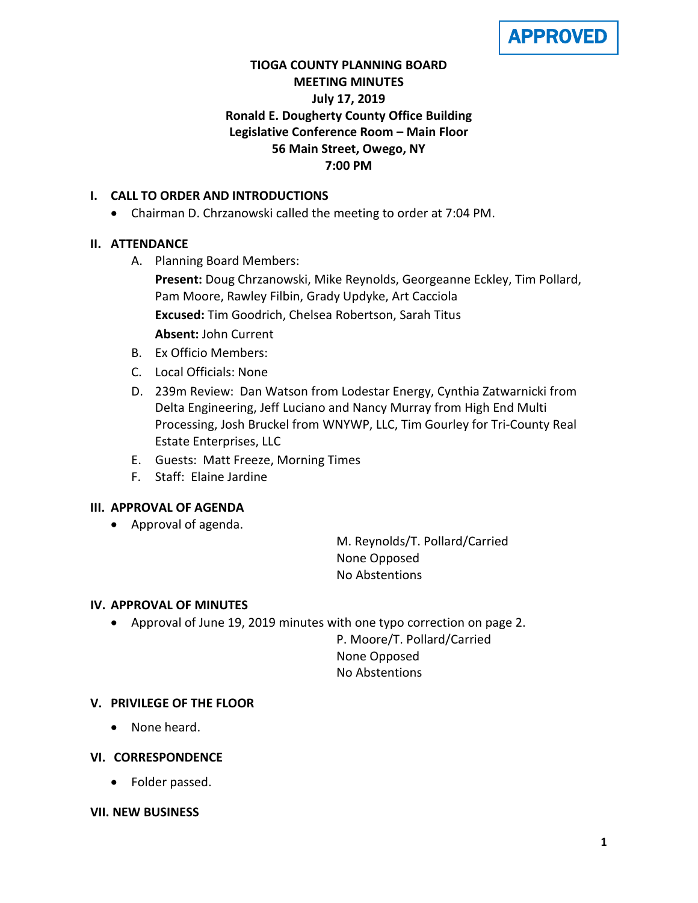**APPROVED** 

# **TIOGA COUNTY PLANNING BOARD MEETING MINUTES July 17, 2019 Ronald E. Dougherty County Office Building Legislative Conference Room – Main Floor 56 Main Street, Owego, NY 7:00 PM**

# **I. CALL TO ORDER AND INTRODUCTIONS**

• Chairman D. Chrzanowski called the meeting to order at 7:04 PM.

## **II. ATTENDANCE**

A. Planning Board Members:

**Present:** Doug Chrzanowski, Mike Reynolds, Georgeanne Eckley, Tim Pollard, Pam Moore, Rawley Filbin, Grady Updyke, Art Cacciola **Excused:** Tim Goodrich, Chelsea Robertson, Sarah Titus **Absent:** John Current

- B. Ex Officio Members:
- C. Local Officials: None
- D. 239m Review: Dan Watson from Lodestar Energy, Cynthia Zatwarnicki from Delta Engineering, Jeff Luciano and Nancy Murray from High End Multi Processing, Josh Bruckel from WNYWP, LLC, Tim Gourley for Tri-County Real Estate Enterprises, LLC
- E. Guests: Matt Freeze, Morning Times
- F. Staff: Elaine Jardine

### **III. APPROVAL OF AGENDA**

• Approval of agenda.

M. Reynolds/T. Pollard/Carried None Opposed No Abstentions

### **IV. APPROVAL OF MINUTES**

• Approval of June 19, 2019 minutes with one typo correction on page 2.

P. Moore/T. Pollard/Carried None Opposed No Abstentions

### **V. PRIVILEGE OF THE FLOOR**

• None heard.

### **VI. CORRESPONDENCE**

• Folder passed.

#### **VII. NEW BUSINESS**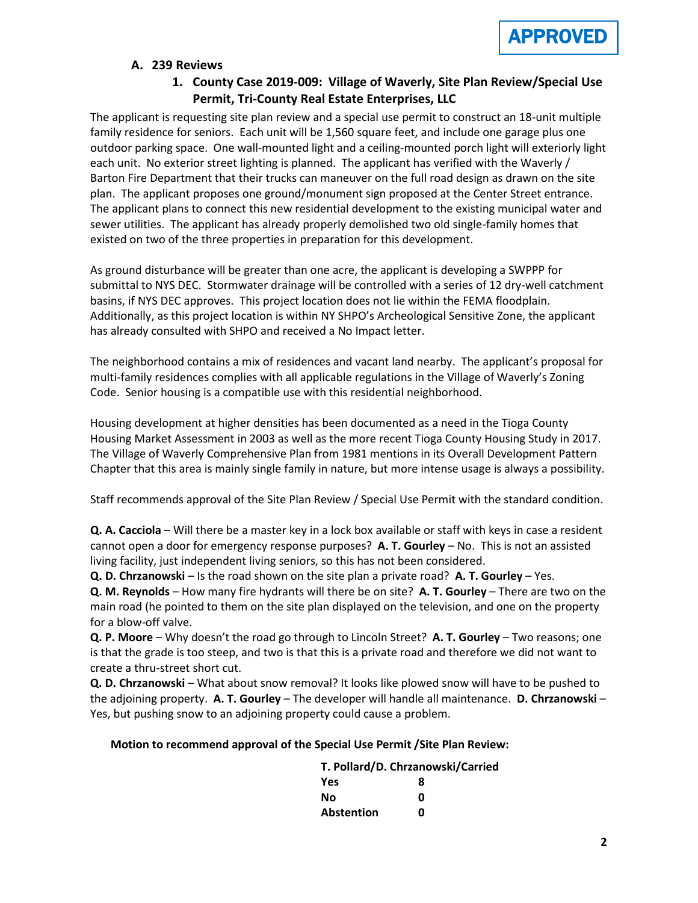

#### **A. 239 Reviews**

# **1. County Case 2019-009: Village of Waverly, Site Plan Review/Special Use Permit, Tri-County Real Estate Enterprises, LLC**

The applicant is requesting site plan review and a special use permit to construct an 18-unit multiple family residence for seniors. Each unit will be 1,560 square feet, and include one garage plus one outdoor parking space. One wall-mounted light and a ceiling-mounted porch light will exteriorly light each unit. No exterior street lighting is planned. The applicant has verified with the Waverly / Barton Fire Department that their trucks can maneuver on the full road design as drawn on the site plan. The applicant proposes one ground/monument sign proposed at the Center Street entrance. The applicant plans to connect this new residential development to the existing municipal water and sewer utilities. The applicant has already properly demolished two old single-family homes that existed on two of the three properties in preparation for this development.

As ground disturbance will be greater than one acre, the applicant is developing a SWPPP for submittal to NYS DEC. Stormwater drainage will be controlled with a series of 12 dry-well catchment basins, if NYS DEC approves. This project location does not lie within the FEMA floodplain. Additionally, as this project location is within NY SHPO's Archeological Sensitive Zone, the applicant has already consulted with SHPO and received a No Impact letter.

The neighborhood contains a mix of residences and vacant land nearby. The applicant's proposal for multi-family residences complies with all applicable regulations in the Village of Waverly's Zoning Code. Senior housing is a compatible use with this residential neighborhood.

Housing development at higher densities has been documented as a need in the Tioga County Housing Market Assessment in 2003 as well as the more recent Tioga County Housing Study in 2017. The Village of Waverly Comprehensive Plan from 1981 mentions in its Overall Development Pattern Chapter that this area is mainly single family in nature, but more intense usage is always a possibility.

Staff recommends approval of the Site Plan Review / Special Use Permit with the standard condition.

**Q. A. Cacciola** – Will there be a master key in a lock box available or staff with keys in case a resident cannot open a door for emergency response purposes? **A. T. Gourley** – No. This is not an assisted living facility, just independent living seniors, so this has not been considered.

**Q. D. Chrzanowski** – Is the road shown on the site plan a private road? **A. T. Gourley** – Yes.

**Q. M. Reynolds** – How many fire hydrants will there be on site? **A. T. Gourley** – There are two on the main road (he pointed to them on the site plan displayed on the television, and one on the property for a blow-off valve.

**Q. P. Moore** – Why doesn't the road go through to Lincoln Street? **A. T. Gourley** – Two reasons; one is that the grade is too steep, and two is that this is a private road and therefore we did not want to create a thru-street short cut.

**Q. D. Chrzanowski** – What about snow removal? It looks like plowed snow will have to be pushed to the adjoining property. **A. T. Gourley** – The developer will handle all maintenance. **D. Chrzanowski** – Yes, but pushing snow to an adjoining property could cause a problem.

#### **Motion to recommend approval of the Special Use Permit /Site Plan Review:**

| T. Pollard/D. Chrzanowski/Carried |   |  |
|-----------------------------------|---|--|
| <b>Yes</b>                        | 8 |  |
| Nο                                | ŋ |  |
| <b>Abstention</b>                 | ŋ |  |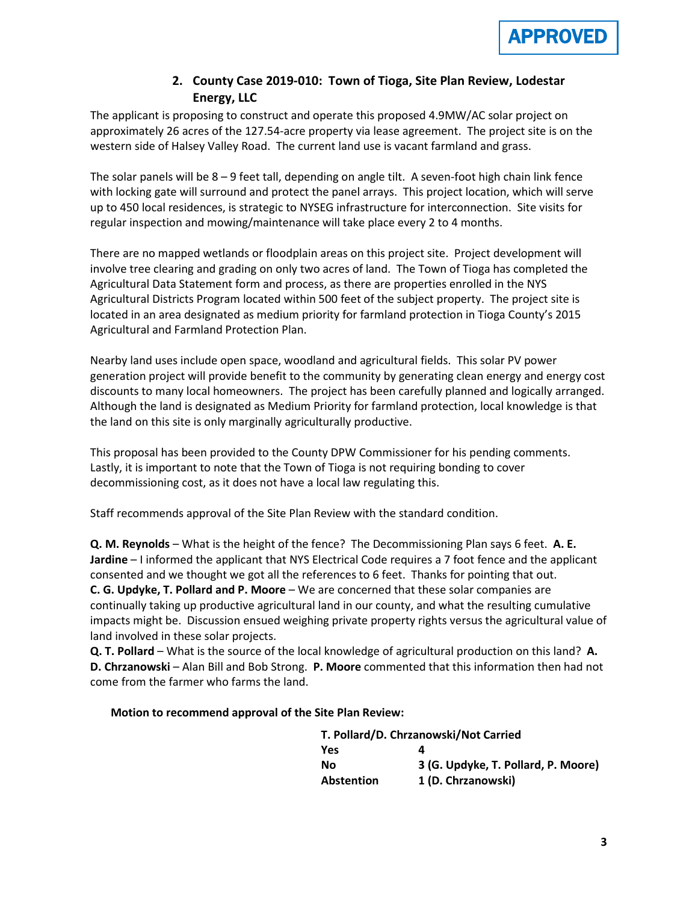

# **2. County Case 2019-010: Town of Tioga, Site Plan Review, Lodestar Energy, LLC**

The applicant is proposing to construct and operate this proposed 4.9MW/AC solar project on approximately 26 acres of the 127.54-acre property via lease agreement. The project site is on the western side of Halsey Valley Road. The current land use is vacant farmland and grass.

The solar panels will be 8 – 9 feet tall, depending on angle tilt. A seven-foot high chain link fence with locking gate will surround and protect the panel arrays. This project location, which will serve up to 450 local residences, is strategic to NYSEG infrastructure for interconnection. Site visits for regular inspection and mowing/maintenance will take place every 2 to 4 months.

There are no mapped wetlands or floodplain areas on this project site. Project development will involve tree clearing and grading on only two acres of land. The Town of Tioga has completed the Agricultural Data Statement form and process, as there are properties enrolled in the NYS Agricultural Districts Program located within 500 feet of the subject property. The project site is located in an area designated as medium priority for farmland protection in Tioga County's 2015 Agricultural and Farmland Protection Plan.

Nearby land uses include open space, woodland and agricultural fields. This solar PV power generation project will provide benefit to the community by generating clean energy and energy cost discounts to many local homeowners. The project has been carefully planned and logically arranged. Although the land is designated as Medium Priority for farmland protection, local knowledge is that the land on this site is only marginally agriculturally productive.

This proposal has been provided to the County DPW Commissioner for his pending comments. Lastly, it is important to note that the Town of Tioga is not requiring bonding to cover decommissioning cost, as it does not have a local law regulating this.

Staff recommends approval of the Site Plan Review with the standard condition.

**Q. M. Reynolds** – What is the height of the fence? The Decommissioning Plan says 6 feet. **A. E. Jardine** – I informed the applicant that NYS Electrical Code requires a 7 foot fence and the applicant consented and we thought we got all the references to 6 feet. Thanks for pointing that out. **C. G. Updyke, T. Pollard and P. Moore** – We are concerned that these solar companies are continually taking up productive agricultural land in our county, and what the resulting cumulative impacts might be. Discussion ensued weighing private property rights versus the agricultural value of land involved in these solar projects.

**Q. T. Pollard** – What is the source of the local knowledge of agricultural production on this land? **A. D. Chrzanowski** – Alan Bill and Bob Strong. **P. Moore** commented that this information then had not come from the farmer who farms the land.

#### **Motion to recommend approval of the Site Plan Review:**

| T. Pollard/D. Chrzanowski/Not Carried |                                     |  |
|---------------------------------------|-------------------------------------|--|
| <b>Yes</b>                            |                                     |  |
| Nο                                    | 3 (G. Updyke, T. Pollard, P. Moore) |  |
| <b>Abstention</b>                     | 1 (D. Chrzanowski)                  |  |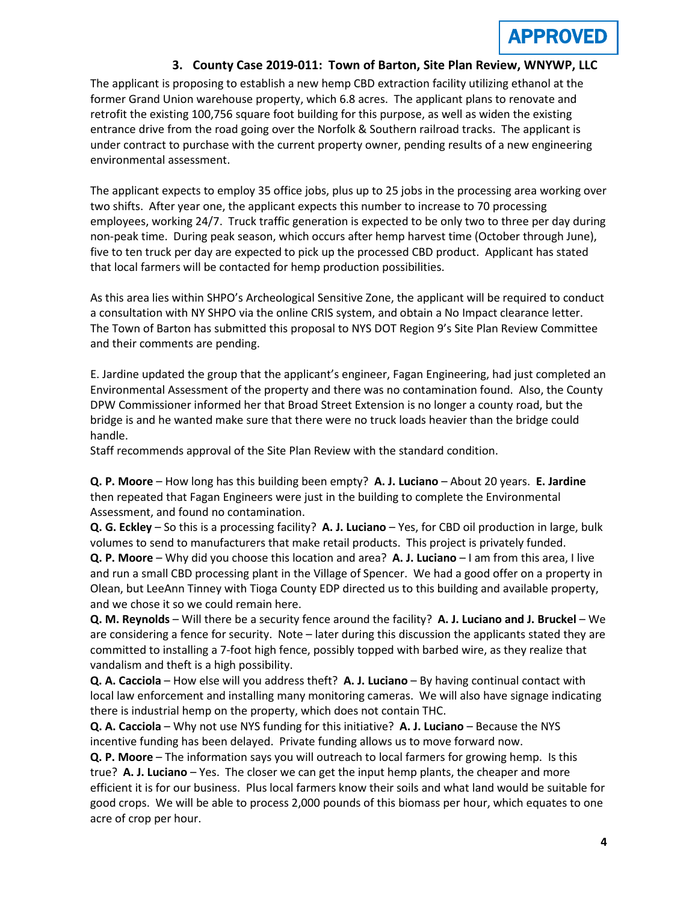### **3. County Case 2019-011: Town of Barton, Site Plan Review, WNYWP, LLC**

The applicant is proposing to establish a new hemp CBD extraction facility utilizing ethanol at the former Grand Union warehouse property, which 6.8 acres. The applicant plans to renovate and retrofit the existing 100,756 square foot building for this purpose, as well as widen the existing entrance drive from the road going over the Norfolk & Southern railroad tracks. The applicant is under contract to purchase with the current property owner, pending results of a new engineering environmental assessment.

The applicant expects to employ 35 office jobs, plus up to 25 jobs in the processing area working over two shifts. After year one, the applicant expects this number to increase to 70 processing employees, working 24/7. Truck traffic generation is expected to be only two to three per day during non-peak time. During peak season, which occurs after hemp harvest time (October through June), five to ten truck per day are expected to pick up the processed CBD product. Applicant has stated that local farmers will be contacted for hemp production possibilities.

As this area lies within SHPO's Archeological Sensitive Zone, the applicant will be required to conduct a consultation with NY SHPO via the online CRIS system, and obtain a No Impact clearance letter. The Town of Barton has submitted this proposal to NYS DOT Region 9's Site Plan Review Committee and their comments are pending.

E. Jardine updated the group that the applicant's engineer, Fagan Engineering, had just completed an Environmental Assessment of the property and there was no contamination found. Also, the County DPW Commissioner informed her that Broad Street Extension is no longer a county road, but the bridge is and he wanted make sure that there were no truck loads heavier than the bridge could handle.

Staff recommends approval of the Site Plan Review with the standard condition.

**Q. P. Moore** – How long has this building been empty? **A. J. Luciano** – About 20 years. **E. Jardine** then repeated that Fagan Engineers were just in the building to complete the Environmental Assessment, and found no contamination.

**Q. G. Eckley** – So this is a processing facility? **A. J. Luciano** – Yes, for CBD oil production in large, bulk volumes to send to manufacturers that make retail products. This project is privately funded. **Q. P. Moore** – Why did you choose this location and area? **A. J. Luciano** – I am from this area, I live and run a small CBD processing plant in the Village of Spencer. We had a good offer on a property in Olean, but LeeAnn Tinney with Tioga County EDP directed us to this building and available property, and we chose it so we could remain here.

**Q. M. Reynolds** – Will there be a security fence around the facility? **A. J. Luciano and J. Bruckel** – We are considering a fence for security. Note – later during this discussion the applicants stated they are committed to installing a 7-foot high fence, possibly topped with barbed wire, as they realize that vandalism and theft is a high possibility.

**Q. A. Cacciola** – How else will you address theft? **A. J. Luciano** – By having continual contact with local law enforcement and installing many monitoring cameras. We will also have signage indicating there is industrial hemp on the property, which does not contain THC.

**Q. A. Cacciola** – Why not use NYS funding for this initiative? **A. J. Luciano** – Because the NYS incentive funding has been delayed. Private funding allows us to move forward now.

**Q. P. Moore** – The information says you will outreach to local farmers for growing hemp. Is this true? **A. J. Luciano** – Yes. The closer we can get the input hemp plants, the cheaper and more efficient it is for our business. Plus local farmers know their soils and what land would be suitable for good crops. We will be able to process 2,000 pounds of this biomass per hour, which equates to one acre of crop per hour.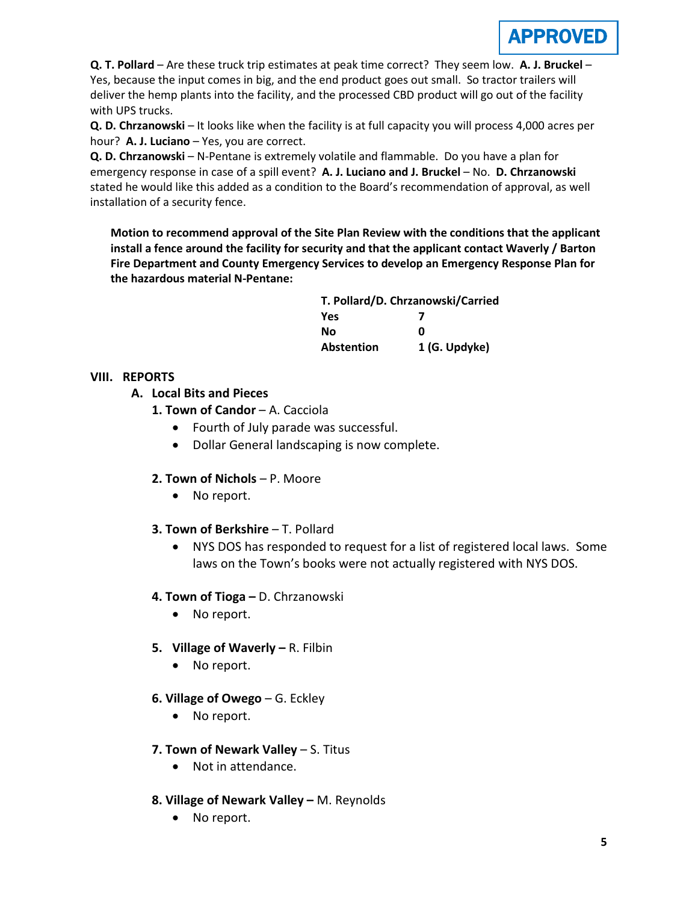

**Q. T. Pollard** – Are these truck trip estimates at peak time correct? They seem low. **A. J. Bruckel** – Yes, because the input comes in big, and the end product goes out small. So tractor trailers will deliver the hemp plants into the facility, and the processed CBD product will go out of the facility with UPS trucks.

**Q. D. Chrzanowski** – It looks like when the facility is at full capacity you will process 4,000 acres per hour? **A. J. Luciano** – Yes, you are correct.

**Q. D. Chrzanowski** – N-Pentane is extremely volatile and flammable. Do you have a plan for emergency response in case of a spill event? **A. J. Luciano and J. Bruckel** – No. **D. Chrzanowski** stated he would like this added as a condition to the Board's recommendation of approval, as well installation of a security fence.

**Motion to recommend approval of the Site Plan Review with the conditions that the applicant install a fence around the facility for security and that the applicant contact Waverly / Barton Fire Department and County Emergency Services to develop an Emergency Response Plan for the hazardous material N-Pentane:**

| T. Pollard/D. Chrzanowski/Carried |               |  |
|-----------------------------------|---------------|--|
| <b>Yes</b>                        |               |  |
| Nο                                | Ω             |  |
| Abstention                        | 1 (G. Updyke) |  |

## **VIII. REPORTS**

- **A. Local Bits and Pieces**
	- **1. Town of Candor A. Cacciola** 
		- Fourth of July parade was successful.
		- Dollar General landscaping is now complete.
	- **2. Town of Nichols**  P. Moore
		- No report.
	- **3. Town of Berkshire**  T. Pollard
		- NYS DOS has responded to request for a list of registered local laws. Some laws on the Town's books were not actually registered with NYS DOS.
	- **4. Town of Tioga –** D. Chrzanowski
		- No report.
	- **5. Village of Waverly –** R. Filbin
		- No report.
	- **6. Village of Owego** G. Eckley
		- No report.
	- **7. Town of Newark Valley** S. Titus
		- Not in attendance.
	- **8. Village of Newark Valley –** M. Reynolds
		- No report.